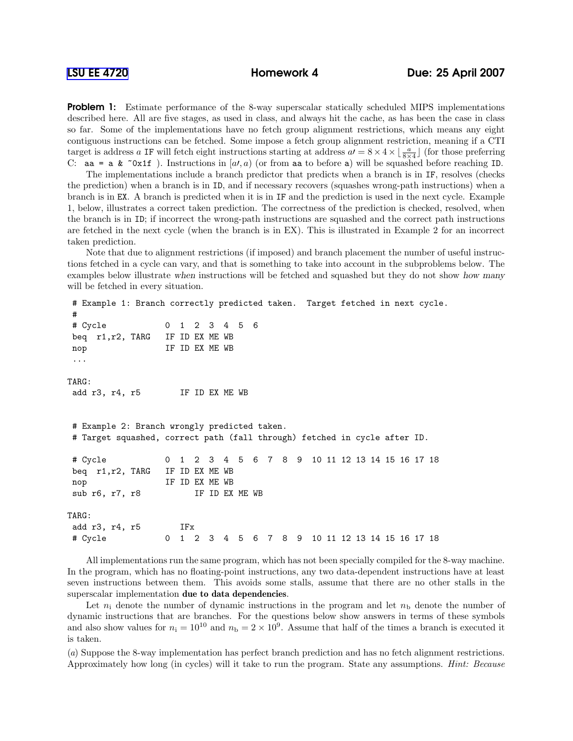**Problem 1:** Estimate performance of the 8-way superscalar statically scheduled MIPS implementations described here. All are five stages, as used in class, and always hit the cache, as has been the case in class so far. Some of the implementations have no fetch group alignment restrictions, which means any eight contiguous instructions can be fetched. Some impose a fetch group alignment restriction, meaning if a CTI target is address a IF will fetch eight instructions starting at address  $aI = 8 \times 4 \times \lfloor \frac{a}{8 \times 4} \rfloor$  (for those preferring C: aa = a &  $\infty$ x1f). Instructions in [a,a, a) (or from aa to before a) will be squashed before reaching ID.

The implementations include a branch predictor that predicts when a branch is in IF, resolves (checks the prediction) when a branch is in ID, and if necessary recovers (squashes wrong-path instructions) when a branch is in EX. A branch is predicted when it is in IF and the prediction is used in the next cycle. Example 1, below, illustrates a correct taken prediction. The correctness of the prediction is checked, resolved, when the branch is in ID; if incorrect the wrong-path instructions are squashed and the correct path instructions are fetched in the next cycle (when the branch is in EX). This is illustrated in Example 2 for an incorrect taken prediction.

Note that due to alignment restrictions (if imposed) and branch placement the number of useful instructions fetched in a cycle can vary, and that is something to take into account in the subproblems below. The examples below illustrate when instructions will be fetched and squashed but they do not show how many will be fetched in every situation.

```
# Example 1: Branch correctly predicted taken. Target fetched in next cycle.
#
# Cycle 0 1 2 3 4 5 6
beq r1,r2, TARG IF ID EX ME WB
nop IF ID EX ME WB
...
TARG:
add r3, r4, r5 IF ID EX ME WB
# Example 2: Branch wrongly predicted taken.
# Target squashed, correct path (fall through) fetched in cycle after ID.
# Cycle 0 1 2 3 4 5 6 7 8 9 10 11 12 13 14 15 16 17 18
beq r1,r2, TARG IF ID EX ME WB
nop IF ID EX ME WB
sub r6, r7, r8 IF ID EX ME WB
TARG:
add r3, r4, r5 IFx
# Cycle 0 1 2 3 4 5 6 7 8 9 10 11 12 13 14 15 16 17 18
```
All implementations run the same program, which has not been specially compiled for the 8-way machine. In the program, which has no floating-point instructions, any two data-dependent instructions have at least seven instructions between them. This avoids some stalls, assume that there are no other stalls in the superscalar implementation due to data dependencies.

Let  $n_i$  denote the number of dynamic instructions in the program and let  $n_b$  denote the number of dynamic instructions that are branches. For the questions below show answers in terms of these symbols and also show values for  $n_i = 10^{10}$  and  $n_b = 2 \times 10^9$ . Assume that half of the times a branch is executed it is taken.

(a) Suppose the 8-way implementation has perfect branch prediction and has no fetch alignment restrictions. Approximately how long (in cycles) will it take to run the program. State any assumptions. Hint: Because